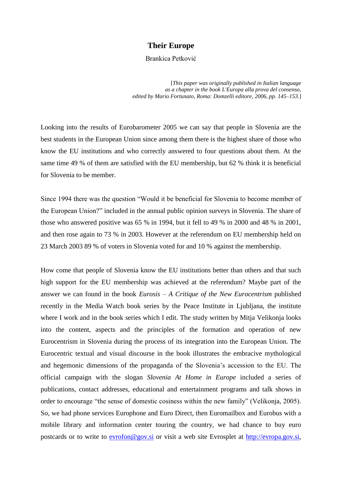## **Their Europe**

Brankica Petković

[*This paper was originally published in Italian language as a chapter in the book L'Europa alla prova del consenso, edited by Mario Fortunato, Roma: Domzelli editore, 2006, pp. 145–153.*]

Looking into the results of Eurobarometer 2005 we can say that people in Slovenia are the best students in the European Union since among them there is the highest share of those who know the EU institutions and who correctly answered to four questions about them. At the same time 49 % of them are satisfied with the EU membership, but 62 % think it is beneficial for Slovenia to be member.

Since 1994 there was the question "Would it be beneficial for Slovenia to become member of the European Union?" included in the annual public opinion surveys in Slovenia. The share of those who answered positive was 65 % in 1994, but it fell to 49 % in 2000 and 48 % in 2001, and then rose again to 73 % in 2003. However at the referendum on EU membership held on 23 March 2003 89 % of voters in Slovenia voted for and 10 % against the membership.

How come that people of Slovenia know the EU institutions better than others and that such high support for the EU membership was achieved at the referendum? Maybe part of the answer we can found in the book *Eurosis – A Critique of the New Eurocentrism* published recently in the Media Watch book series by the Peace Institute in Ljubljana, the institute where I work and in the book series which I edit. The study written by Mitja Velikonja looks into the content, aspects and the principles of the formation and operation of new Eurocentrism in Slovenia during the process of its integration into the European Union. The Eurocentric textual and visual discourse in the book illustrates the embracive mythological and hegemonic dimensions of the propaganda of the Slovenia"s accession to the EU. The official campaign with the slogan *Slovenia At Home in Europe* included a series of publications, contact addresses, educational and entertainment programs and talk shows in order to encourage "the sense of domestic cosiness within the new family" (Velikonja, 2005). So, we had phone services Europhone and Euro Direct, then Euromailbox and Eurobus with a mobile library and information center touring the country, we had chance to buy euro postcards or to write to [evrofon@gov.si](mailto:evofon@gov.si) or visit a web site Evrosplet at [http://evropa.gov.si,](http://evropa.gov.si/)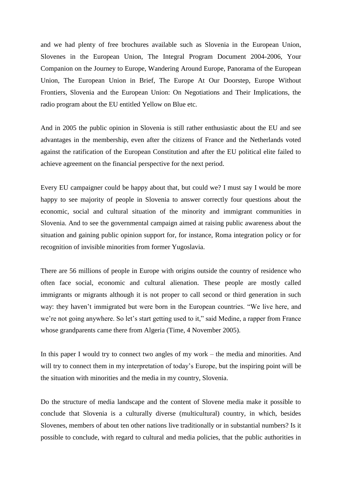and we had plenty of free brochures available such as Slovenia in the European Union, Slovenes in the European Union, The Integral Program Document 2004-2006, Your Companion on the Journey to Europe, Wandering Around Europe, Panorama of the European Union, The European Union in Brief, The Europe At Our Doorstep, Europe Without Frontiers, Slovenia and the European Union: On Negotiations and Their Implications, the radio program about the EU entitled Yellow on Blue etc.

And in 2005 the public opinion in Slovenia is still rather enthusiastic about the EU and see advantages in the membership, even after the citizens of France and the Netherlands voted against the ratification of the European Constitution and after the EU political elite failed to achieve agreement on the financial perspective for the next period.

Every EU campaigner could be happy about that, but could we? I must say I would be more happy to see majority of people in Slovenia to answer correctly four questions about the economic, social and cultural situation of the minority and immigrant communities in Slovenia. And to see the governmental campaign aimed at raising public awareness about the situation and gaining public opinion support for, for instance, Roma integration policy or for recognition of invisible minorities from former Yugoslavia.

There are 56 millions of people in Europe with origins outside the country of residence who often face social, economic and cultural alienation. These people are mostly called immigrants or migrants although it is not proper to call second or third generation in such way: they haven"t immigrated but were born in the European countries. "We live here, and we're not going anywhere. So let's start getting used to it," said Medine, a rapper from France whose grandparents came there from Algeria (Time, 4 November 2005).

In this paper I would try to connect two angles of my work – the media and minorities. And will try to connect them in my interpretation of today's Europe, but the inspiring point will be the situation with minorities and the media in my country, Slovenia.

Do the structure of media landscape and the content of Slovene media make it possible to conclude that Slovenia is a culturally diverse (multicultural) country, in which, besides Slovenes, members of about ten other nations live traditionally or in substantial numbers? Is it possible to conclude, with regard to cultural and media policies, that the public authorities in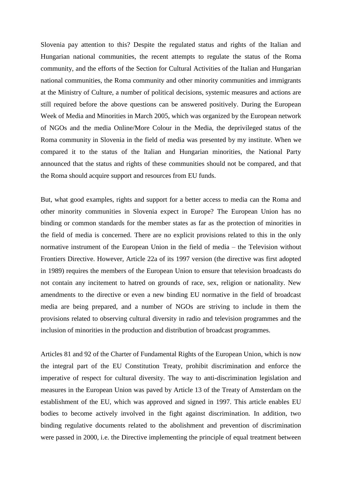Slovenia pay attention to this? Despite the regulated status and rights of the Italian and Hungarian national communities, the recent attempts to regulate the status of the Roma community, and the efforts of the Section for Cultural Activities of the Italian and Hungarian national communities, the Roma community and other minority communities and immigrants at the Ministry of Culture, a number of political decisions, systemic measures and actions are still required before the above questions can be answered positively. During the European Week of Media and Minorities in March 2005, which was organized by the European network of NGOs and the media Online/More Colour in the Media, the deprivileged status of the Roma community in Slovenia in the field of media was presented by my institute. When we compared it to the status of the Italian and Hungarian minorities, the National Party announced that the status and rights of these communities should not be compared, and that the Roma should acquire support and resources from EU funds.

But, what good examples, rights and support for a better access to media can the Roma and other minority communities in Slovenia expect in Europe? The European Union has no binding or common standards for the member states as far as the protection of minorities in the field of media is concerned. There are no explicit provisions related to this in the only normative instrument of the European Union in the field of media – the Television without Frontiers Directive. However, Article 22a of its 1997 version (the directive was first adopted in 1989) requires the members of the European Union to ensure that television broadcasts do not contain any incitement to hatred on grounds of race, sex, religion or nationality. New amendments to the directive or even a new binding EU normative in the field of broadcast media are being prepared, and a number of NGOs are striving to include in them the provisions related to observing cultural diversity in radio and television programmes and the inclusion of minorities in the production and distribution of broadcast programmes.

Articles 81 and 92 of the Charter of Fundamental Rights of the European Union, which is now the integral part of the EU Constitution Treaty, prohibit discrimination and enforce the imperative of respect for cultural diversity. The way to anti-discrimination legislation and measures in the European Union was paved by Article 13 of the Treaty of Amsterdam on the establishment of the EU, which was approved and signed in 1997. This article enables EU bodies to become actively involved in the fight against discrimination. In addition, two binding regulative documents related to the abolishment and prevention of discrimination were passed in 2000, i.e. the Directive implementing the principle of equal treatment between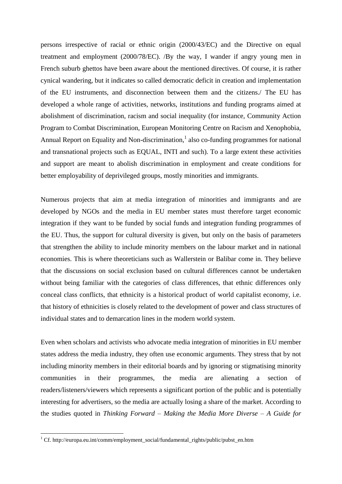persons irrespective of racial or ethnic origin (2000/43/EC) and the Directive on equal treatment and employment (2000/78/EC). /By the way, I wander if angry young men in French suburb ghettos have been aware about the mentioned directives. Of course, it is rather cynical wandering, but it indicates so called democratic deficit in creation and implementation of the EU instruments, and disconnection between them and the citizens./ The EU has developed a whole range of activities, networks, institutions and funding programs aimed at abolishment of discrimination, racism and social inequality (for instance, Community Action Program to Combat Discrimination, European Monitoring Centre on Racism and Xenophobia, Annual Report on Equality and Non-discrimination, $<sup>1</sup>$  also co-funding programmes for national</sup> and transnational projects such as EQUAL, INTI and such). To a large extent these activities and support are meant to abolish discrimination in employment and create conditions for better employability of deprivileged groups, mostly minorities and immigrants.

Numerous projects that aim at media integration of minorities and immigrants and are developed by NGOs and the media in EU member states must therefore target economic integration if they want to be funded by social funds and integration funding programmes of the EU. Thus, the support for cultural diversity is given, but only on the basis of parameters that strengthen the ability to include minority members on the labour market and in national economies. This is where theoreticians such as Wallerstein or Balibar come in. They believe that the discussions on social exclusion based on cultural differences cannot be undertaken without being familiar with the categories of class differences, that ethnic differences only conceal class conflicts, that ethnicity is a historical product of world capitalist economy, i.e. that history of ethnicities is closely related to the development of power and class structures of individual states and to demarcation lines in the modern world system.

Even when scholars and activists who advocate media integration of minorities in EU member states address the media industry, they often use economic arguments. They stress that by not including minority members in their editorial boards and by ignoring or stigmatising minority communities in their programmes, the media are alienating a section of readers/listeners/viewers which represents a significant portion of the public and is potentially interesting for advertisers, so the media are actually losing a share of the market. According to the studies quoted in *Thinking Forward – Making the Media More Diverse – A Guide for* 

1

<sup>&</sup>lt;sup>1</sup> Cf. http://europa.eu.int/comm/employment\_social/fundamental\_rights/public/pubst\_en.htm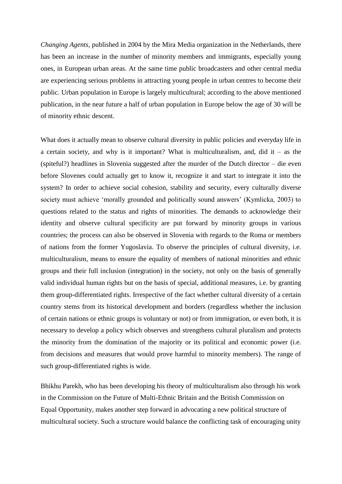*Changing Agents*, published in 2004 by the Mira Media organization in the Netherlands, there has been an increase in the number of minority members and immigrants, especially young ones, in European urban areas. At the same time public broadcasters and other central media are experiencing serious problems in attracting young people in urban centres to become their public. Urban population in Europe is largely multicultural; according to the above mentioned publication, in the near future a half of urban population in Europe below the age of 30 will be of minority ethnic descent.

What does it actually mean to observe cultural diversity in public policies and everyday life in a certain society, and why is it important? What is multiculturalism, and, did it – as the (spiteful?) headlines in Slovenia suggested after the murder of the Dutch director – die even before Slovenes could actually get to know it, recognize it and start to integrate it into the system? In order to achieve social cohesion, stability and security, every culturally diverse society must achieve 'morally grounded and politically sound answers' (Kymlicka, 2003) to questions related to the status and rights of minorities. The demands to acknowledge their identity and observe cultural specificity are put forward by minority groups in various countries; the process can also be observed in Slovenia with regards to the Roma or members of nations from the former Yugoslavia. To observe the principles of cultural diversity, i.e. multiculturalism, means to ensure the equality of members of national minorities and ethnic groups and their full inclusion (integration) in the society, not only on the basis of generally valid individual human rights but on the basis of special, additional measures, i.e. by granting them group-differentiated rights. Irrespective of the fact whether cultural diversity of a certain country stems from its historical development and borders (regardless whether the inclusion of certain nations or ethnic groups is voluntary or not) or from immigration, or even both, it is necessary to develop a policy which observes and strengthens cultural pluralism and protects the minority from the domination of the majority or its political and economic power (i.e. from decisions and measures that would prove harmful to minority members). The range of such group-differentiated rights is wide.

Bhikhu Parekh, who has been developing his theory of multiculturalism also through his work in the Commission on the Future of Multi-Ethnic Britain and the British Commission on Equal Opportunity, makes another step forward in advocating a new political structure of multicultural society. Such a structure would balance the conflicting task of encouraging unity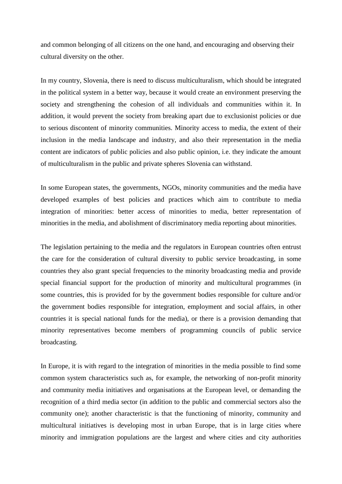and common belonging of all citizens on the one hand, and encouraging and observing their cultural diversity on the other.

In my country, Slovenia, there is need to discuss multiculturalism, which should be integrated in the political system in a better way, because it would create an environment preserving the society and strengthening the cohesion of all individuals and communities within it. In addition, it would prevent the society from breaking apart due to exclusionist policies or due to serious discontent of minority communities. Minority access to media, the extent of their inclusion in the media landscape and industry, and also their representation in the media content are indicators of public policies and also public opinion, i.e. they indicate the amount of multiculturalism in the public and private spheres Slovenia can withstand.

In some European states, the governments, NGOs, minority communities and the media have developed examples of best policies and practices which aim to contribute to media integration of minorities: better access of minorities to media, better representation of minorities in the media, and abolishment of discriminatory media reporting about minorities.

The legislation pertaining to the media and the regulators in European countries often entrust the care for the consideration of cultural diversity to public service broadcasting, in some countries they also grant special frequencies to the minority broadcasting media and provide special financial support for the production of minority and multicultural programmes (in some countries, this is provided for by the government bodies responsible for culture and/or the government bodies responsible for integration, employment and social affairs, in other countries it is special national funds for the media), or there is a provision demanding that minority representatives become members of programming councils of public service broadcasting.

In Europe, it is with regard to the integration of minorities in the media possible to find some common system characteristics such as, for example, the networking of non-profit minority and community media initiatives and organisations at the European level, or demanding the recognition of a third media sector (in addition to the public and commercial sectors also the community one); another characteristic is that the functioning of minority, community and multicultural initiatives is developing most in urban Europe, that is in large cities where minority and immigration populations are the largest and where cities and city authorities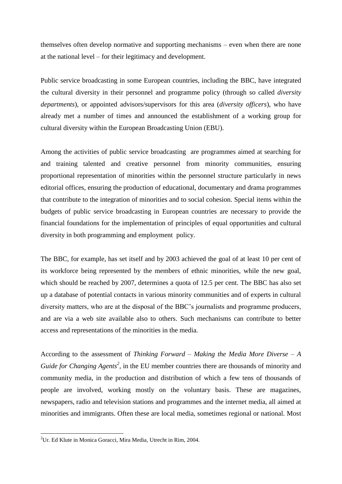themselves often develop normative and supporting mechanisms – even when there are none at the national level – for their legitimacy and development.

Public service broadcasting in some European countries, including the BBC, have integrated the cultural diversity in their personnel and programme policy (through so called *diversity departments*), or appointed advisors/supervisors for this area (*diversity officers*), who have already met a number of times and announced the establishment of a working group for cultural diversity within the European Broadcasting Union (EBU).

Among the activities of public service broadcasting are programmes aimed at searching for and training talented and creative personnel from minority communities, ensuring proportional representation of minorities within the personnel structure particularly in news editorial offices, ensuring the production of educational, documentary and drama programmes that contribute to the integration of minorities and to social cohesion. Special items within the budgets of public service broadcasting in European countries are necessary to provide the financial foundations for the implementation of principles of equal opportunities and cultural diversity in both programming and employment policy.

The BBC, for example, has set itself and by 2003 achieved the goal of at least 10 per cent of its workforce being represented by the members of ethnic minorities, while the new goal, which should be reached by 2007, determines a quota of 12.5 per cent. The BBC has also set up a database of potential contacts in various minority communities and of experts in cultural diversity matters, who are at the disposal of the BBC"s journalists and programme producers, and are via a web site available also to others. Such mechanisms can contribute to better access and representations of the minorities in the media.

According to the assessment of *Thinking Forward – Making the Media More Diverse – A Guide for Changing Agents<sup>2</sup>*, in the EU member countries there are thousands of minority and community media, in the production and distribution of which a few tens of thousands of people are involved, working mostly on the voluntary basis. These are magazines, newspapers, radio and television stations and programmes and the internet media, all aimed at minorities and immigrants. Often these are local media, sometimes regional or national. Most

1

 $2^2$ Ur. Ed Klute in Monica Goracci, Mira Media, Utrecht in Rim, 2004.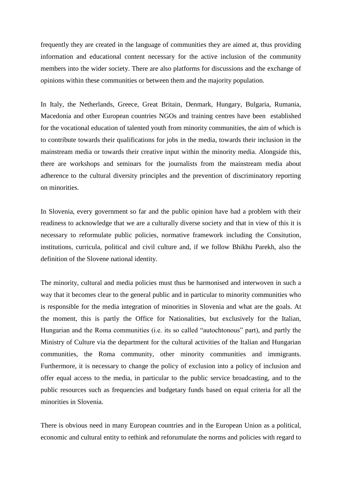frequently they are created in the language of communities they are aimed at, thus providing information and educational content necessary for the active inclusion of the community members into the wider society. There are also platforms for discussions and the exchange of opinions within these communities or between them and the majority population.

In Italy, the Netherlands, Greece, Great Britain, Denmark, Hungary, Bulgaria, Rumania, Macedonia and other European countries NGOs and training centres have been established for the vocational education of talented youth from minority communities, the aim of which is to contribute towards their qualifications for jobs in the media, towards their inclusion in the mainstream media or towards their creative input within the minority media. Alongside this, there are workshops and seminars for the journalists from the mainstream media about adherence to the cultural diversity principles and the prevention of discriminatory reporting on minorities.

In Slovenia, every government so far and the public opinion have had a problem with their readiness to acknowledge that we are a culturally diverse society and that in view of this it is necessary to reformulate public policies, normative framework including the Consitution, institutions, curricula, political and civil culture and, if we follow Bhikhu Parekh, also the definition of the Slovene national identity.

The minority, cultural and media policies must thus be harmonised and interwoven in such a way that it becomes clear to the general public and in particular to minority communities who is responsible for the media integration of minorities in Slovenia and what are the goals. At the moment, this is partly the Office for Nationalities, but exclusively for the Italian, Hungarian and the Roma communities (i.e. its so called "autochtonous" part), and partly the Ministry of Culture via the department for the cultural activities of the Italian and Hungarian communities, the Roma community, other minority communities and immigrants. Furthermore, it is necessary to change the policy of exclusion into a policy of inclusion and offer equal access to the media, in particular to the public service broadcasting, and to the public resources such as frequencies and budgetary funds based on equal criteria for all the minorities in Slovenia.

There is obvious need in many European countries and in the European Union as a political, economic and cultural entity to rethink and reforumulate the norms and policies with regard to